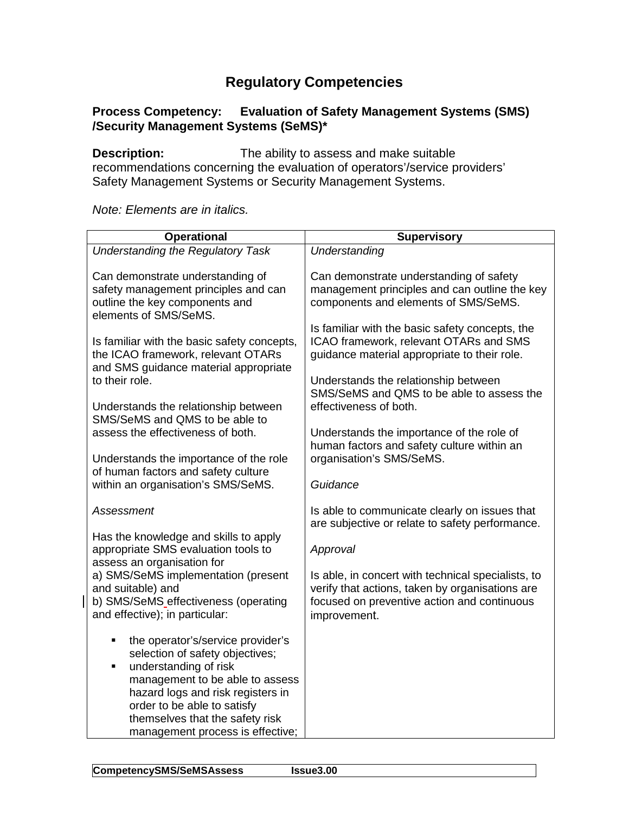## **Regulatory Competencies**

## **Process Competency: Evaluation of Safety Management Systems (SMS) /Security Management Systems (SeMS)\***

**Description:** The ability to assess and make suitable recommendations concerning the evaluation of operators'/service providers' Safety Management Systems or Security Management Systems.

*Note: Elements are in italics.*

| <b>Operational</b>                                                                                                                                                                                                                                                                    | <b>Supervisory</b>                                                                                                                                                                |
|---------------------------------------------------------------------------------------------------------------------------------------------------------------------------------------------------------------------------------------------------------------------------------------|-----------------------------------------------------------------------------------------------------------------------------------------------------------------------------------|
| <b>Understanding the Regulatory Task</b>                                                                                                                                                                                                                                              | Understanding                                                                                                                                                                     |
| Can demonstrate understanding of<br>safety management principles and can<br>outline the key components and<br>elements of SMS/SeMS.                                                                                                                                                   | Can demonstrate understanding of safety<br>management principles and can outline the key<br>components and elements of SMS/SeMS.                                                  |
| Is familiar with the basic safety concepts,<br>the ICAO framework, relevant OTARs<br>and SMS guidance material appropriate<br>to their role.                                                                                                                                          | Is familiar with the basic safety concepts, the<br>ICAO framework, relevant OTARs and SMS<br>guidance material appropriate to their role.<br>Understands the relationship between |
| Understands the relationship between<br>SMS/SeMS and QMS to be able to                                                                                                                                                                                                                | SMS/SeMS and QMS to be able to assess the<br>effectiveness of both.                                                                                                               |
| assess the effectiveness of both.                                                                                                                                                                                                                                                     | Understands the importance of the role of<br>human factors and safety culture within an                                                                                           |
| Understands the importance of the role                                                                                                                                                                                                                                                | organisation's SMS/SeMS.                                                                                                                                                          |
| of human factors and safety culture<br>within an organisation's SMS/SeMS.                                                                                                                                                                                                             | Guidance                                                                                                                                                                          |
| <b>Assessment</b>                                                                                                                                                                                                                                                                     | Is able to communicate clearly on issues that<br>are subjective or relate to safety performance.                                                                                  |
| Has the knowledge and skills to apply<br>appropriate SMS evaluation tools to<br>assess an organisation for                                                                                                                                                                            | Approval                                                                                                                                                                          |
| a) SMS/SeMS implementation (present<br>and suitable) and<br>b) SMS/SeMS_effectiveness (operating<br>and effective); in particular:                                                                                                                                                    | Is able, in concert with technical specialists, to<br>verify that actions, taken by organisations are<br>focused on preventive action and continuous<br>improvement.              |
| the operator's/service provider's<br>٠<br>selection of safety objectives;<br>understanding of risk<br>٠<br>management to be able to assess<br>hazard logs and risk registers in<br>order to be able to satisfy<br>themselves that the safety risk<br>management process is effective; |                                                                                                                                                                                   |